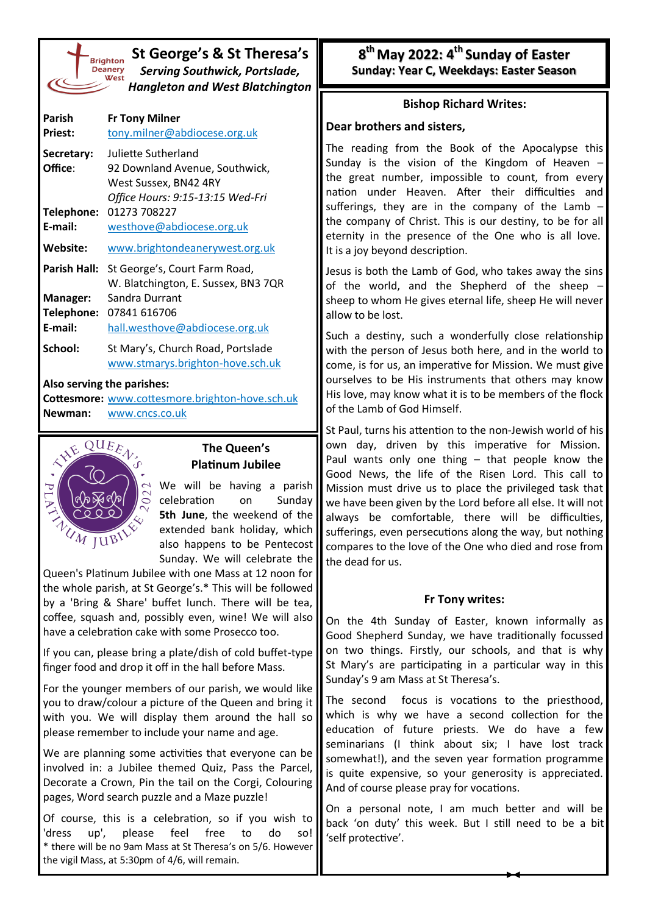| Brighto       |
|---------------|
| <b>Deaner</b> |
| We:           |
|               |
|               |

# **St George's & St Theresa's** *Serving Southwick, Portslade, Hangleton and West Blatchington*

| Parish<br><b>Priest:</b> | <b>Fr Tony Milner</b><br>tony.milner@abdiocese.org.uk                                                              |
|--------------------------|--------------------------------------------------------------------------------------------------------------------|
| Secretary:<br>Office:    | Juliette Sutherland<br>92 Downland Avenue, Southwick,<br>West Sussex, BN42 4RY<br>Office Hours: 9:15-13:15 Wed-Fri |
| Telephone:<br>E-mail:    | 01273 708227<br>westhove@abdiocese.org.uk                                                                          |
| Website:                 | www.brightondeanerywest.org.uk                                                                                     |
| Parish Hall:             | St George's, Court Farm Road,<br>W. Blatchington, E. Sussex, BN3 7QR                                               |
| Manager:<br>Telephone:   | Sandra Durrant<br>07841 616706                                                                                     |
| E-mail:                  | hall.westhove@abdiocese.org.uk                                                                                     |
| School:                  | St Mary's, Church Road, Portslade<br>www.stmarys.brighton-hove.sch.uk                                              |

#### **Also serving the parishes:**

**Cottesmore:** [www.cottesmore.brighton](http://www.cottesmore.brighton-hove.sch.uk)-hove.sch.uk **Newman:** [www.cncs.co.uk](https://www.cncs.co.uk/)



## **The Queen's Platinum Jubilee**

We will be having a parish celebration on Sunday **5th June**, the weekend of the extended bank holiday, which also happens to be Pentecost Sunday. We will celebrate the

Queen's Platinum Jubilee with one Mass at 12 noon for the whole parish, at St George's.\* This will be followed by a 'Bring & Share' buffet lunch. There will be tea, coffee, squash and, possibly even, wine! We will also have a celebration cake with some Prosecco too.

If you can, please bring a plate/dish of cold buffet-type finger food and drop it off in the hall before Mass.

For the younger members of our parish, we would like you to draw/colour a picture of the Queen and bring it with you. We will display them around the hall so please remember to include your name and age.

We are planning some activities that everyone can be involved in: a Jubilee themed Quiz, Pass the Parcel, Decorate a Crown, Pin the tail on the Corgi, Colouring pages, Word search puzzle and a Maze puzzle!

Of course, this is a celebration, so if you wish to 'dress up', please feel free to do so! \* there will be no 9am Mass at St Theresa's on 5/6. However the vigil Mass, at 5:30pm of 4/6, will remain.

**8 th May 2022: 4th Sunday of Easter Sunday: Year C, Weekdays: Easter Season** 

### **Bishop Richard Writes:**

### **Dear brothers and sisters,**

The reading from the Book of the Apocalypse this Sunday is the vision of the Kingdom of Heaven – the great number, impossible to count, from every nation under Heaven. After their difficulties and sufferings, they are in the company of the Lamb  $$ the company of Christ. This is our destiny, to be for all eternity in the presence of the One who is all love. It is a joy beyond description.

Jesus is both the Lamb of God, who takes away the sins of the world, and the Shepherd of the sheep – sheep to whom He gives eternal life, sheep He will never allow to be lost.

Such a destiny, such a wonderfully close relationship with the person of Jesus both here, and in the world to come, is for us, an imperative for Mission. We must give ourselves to be His instruments that others may know His love, may know what it is to be members of the flock of the Lamb of God Himself.

St Paul, turns his attention to the non-Jewish world of his own day, driven by this imperative for Mission. Paul wants only one thing – that people know the Good News, the life of the Risen Lord. This call to Mission must drive us to place the privileged task that we have been given by the Lord before all else. It will not always be comfortable, there will be difficulties, sufferings, even persecutions along the way, but nothing compares to the love of the One who died and rose from the dead for us.

#### **Fr Tony writes:**

On the 4th Sunday of Easter, known informally as Good Shepherd Sunday, we have traditionally focussed on two things. Firstly, our schools, and that is why St Mary's are participating in a particular way in this Sunday's 9 am Mass at St Theresa's.

The second focus is vocations to the priesthood, which is why we have a second collection for the education of future priests. We do have a few seminarians (I think about six; I have lost track somewhat!), and the seven year formation programme is quite expensive, so your generosity is appreciated. And of course please pray for vocations.

On a personal note, I am much better and will be back 'on duty' this week. But I still need to be a bit 'self protective'.